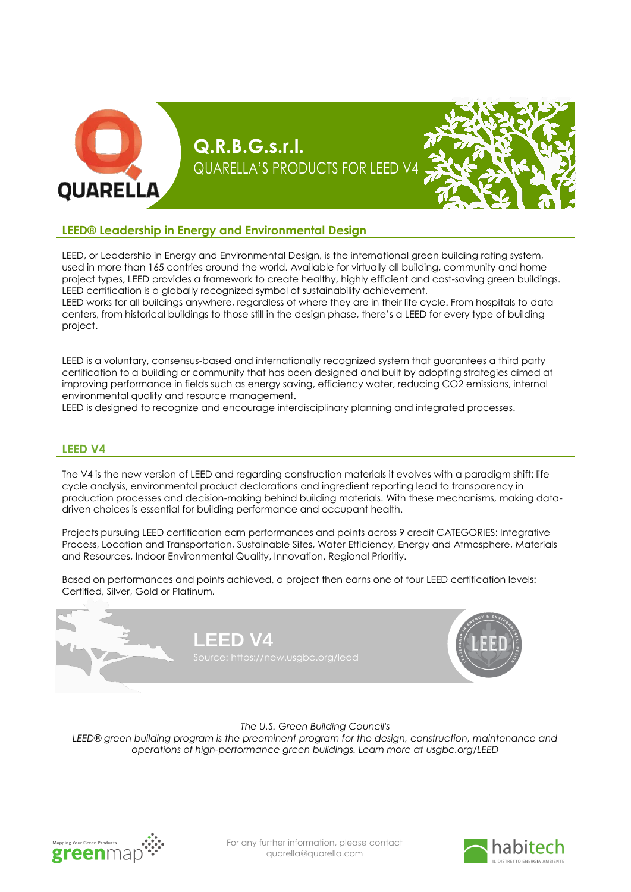

#### **LEED® Leadership in Energy and Environmental Design**

LEED, or Leadership in Energy and Environmental Design, is the international green building rating system, used in more than 165 contries around the world. Available for virtually all building, community and home project types, LEED provides a framework to create healthy, highly efficient and cost-saving green buildings. LEED certification is a globally recognized symbol of sustainability achievement.

LEED works for all buildings anywhere, regardless of where they are in their life cycle. From hospitals to data centers, from historical buildings to those still in the design phase, there's a LEED for every type of building project.

LEED is a voluntary, consensus-based and internationally recognized system that guarantees a third party certification to a building or community that has been designed and built by adopting strategies aimed at improving performance in fields such as energy saving, efficiency water, reducing CO2 emissions, internal environmental quality and resource management.

LEED is designed to recognize and encourage interdisciplinary planning and integrated processes.

#### **LEED V4**

The V4 is the new version of LEED and regarding construction materials it evolves with a paradigm shift: life cycle analysis, environmental product declarations and ingredient reporting lead to transparency in production processes and decision-making behind building materials. With these mechanisms, making datadriven choices is essential for building performance and occupant health.

Projects pursuing LEED certification earn performances and points across 9 credit CATEGORIES: Integrative Process, Location and Transportation, Sustainable Sites, Water Efficiency, Energy and Atmosphere, Materials and Resources, Indoor Environmental Quality, Innovation, Regional Prioritiy.

Based on performances and points achieved, a project then earns one of four LEED certification levels: Certified, Silver, Gold or Platinum.



*The U.S. Green Building Council's*

*LEED® green building program is the preeminent program for the design, construction, maintenance and operations of high-performance green buildings. Learn more at usgbc.org/LEED*